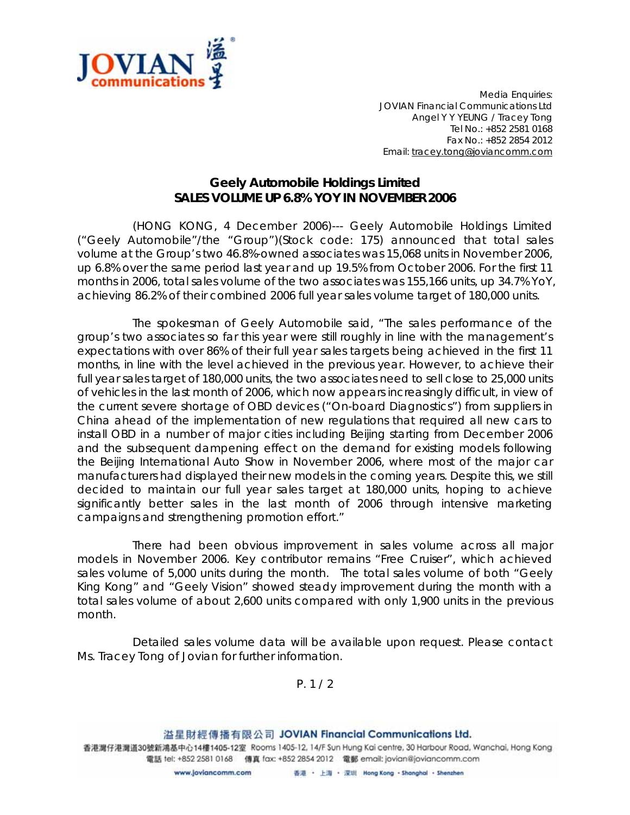

*Media Enquiries: JOVIAN Financial Communications Ltd Angel Y Y YEUNG / Tracey Tong Tel No.: +852 2581 0168 Fax No.: +852 2854 2012 Email: tracey.tong@joviancomm.com*

## **Geely Automobile Holdings Limited SALES VOLUME UP 6.8% YOY IN NOVEMBER 2006**

(HONG KONG, 4 December 2006)--- Geely Automobile Holdings Limited ("Geely Automobile"/the "Group")(Stock code: 175) announced that total sales volume at the Group's two 46.8%-owned associates was 15,068 units in November 2006, up 6.8% over the same period last year and up 19.5% from October 2006. For the first 11 months in 2006, total sales volume of the two associates was 155,166 units, up 34.7% YoY, achieving 86.2% of their combined 2006 full year sales volume target of 180,000 units.

The spokesman of Geely Automobile said, "The sales performance of the group's two associates so far this year were still roughly in line with the management's expectations with over 86% of their full year sales targets being achieved in the first 11 months, in line with the level achieved in the previous year. However, to achieve their full year sales target of 180,000 units, the two associates need to sell close to 25,000 units of vehicles in the last month of 2006, which now appears increasingly difficult, in view of the current severe shortage of OBD devices ("On-board Diagnostics") from suppliers in China ahead of the implementation of new regulations that required all new cars to install OBD in a number of major cities including Beijing starting from December 2006 and the subsequent dampening effect on the demand for existing models following the Beijing International Auto Show in November 2006, where most of the major car manufacturers had displayed their new models in the coming years. Despite this, we still decided to maintain our full year sales target at 180,000 units, hoping to achieve significantly better sales in the last month of 2006 through intensive marketing campaigns and strengthening promotion effort."

There had been obvious improvement in sales volume across all major models in November 2006. Key contributor remains "Free Cruiser", which achieved sales volume of 5,000 units during the month. The total sales volume of both "Geely King Kong" and "Geely Vision" showed steady improvement during the month with a total sales volume of about 2,600 units compared with only 1,900 units in the previous month.

Detailed sales volume data will be available upon request. Please contact Ms. Tracey Tong of Jovian for further information.

*P. 1 / 2*